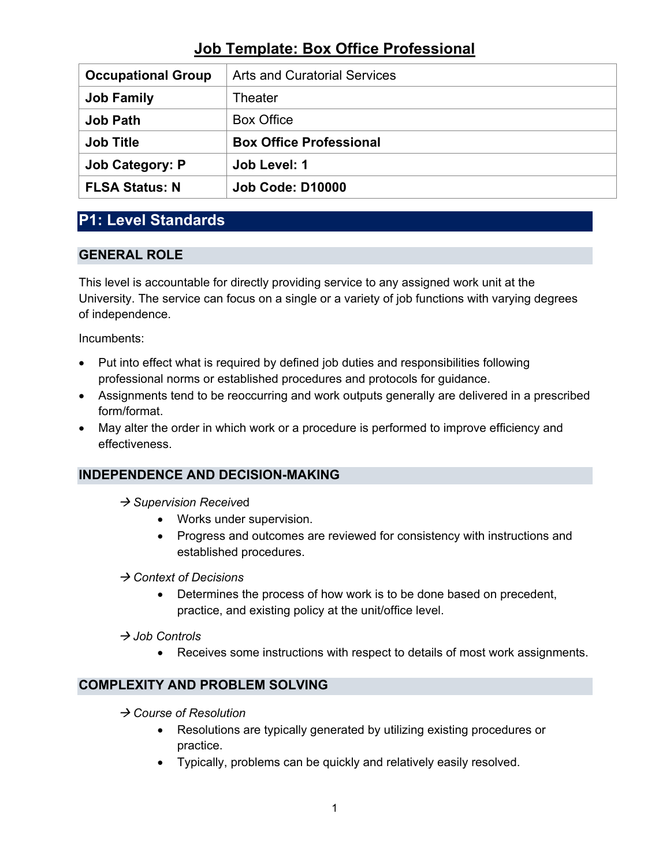| <b>Occupational Group</b> | <b>Arts and Curatorial Services</b> |
|---------------------------|-------------------------------------|
| <b>Job Family</b>         | Theater                             |
| <b>Job Path</b>           | <b>Box Office</b>                   |
| <b>Job Title</b>          | <b>Box Office Professional</b>      |
| <b>Job Category: P</b>    | Job Level: 1                        |
| <b>FLSA Status: N</b>     | <b>Job Code: D10000</b>             |

### **P1: Level Standards**

### **GENERAL ROLE**

This level is accountable for directly providing service to any assigned work unit at the University. The service can focus on a single or a variety of job functions with varying degrees of independence.

Incumbents:

- Put into effect what is required by defined job duties and responsibilities following professional norms or established procedures and protocols for guidance.
- Assignments tend to be reoccurring and work outputs generally are delivered in a prescribed form/format.
- May alter the order in which work or a procedure is performed to improve efficiency and effectiveness.

### **INDEPENDENCE AND DECISION-MAKING**

- → Supervision Received
	- Works under supervision.
	- Progress and outcomes are reviewed for consistency with instructions and established procedures.

*Context of Decisions*

- Determines the process of how work is to be done based on precedent, practice, and existing policy at the unit/office level.
- *Job Controls*
	- Receives some instructions with respect to details of most work assignments.

### **COMPLEXITY AND PROBLEM SOLVING**

- *Course of Resolution*
	- Resolutions are typically generated by utilizing existing procedures or practice.
	- Typically, problems can be quickly and relatively easily resolved.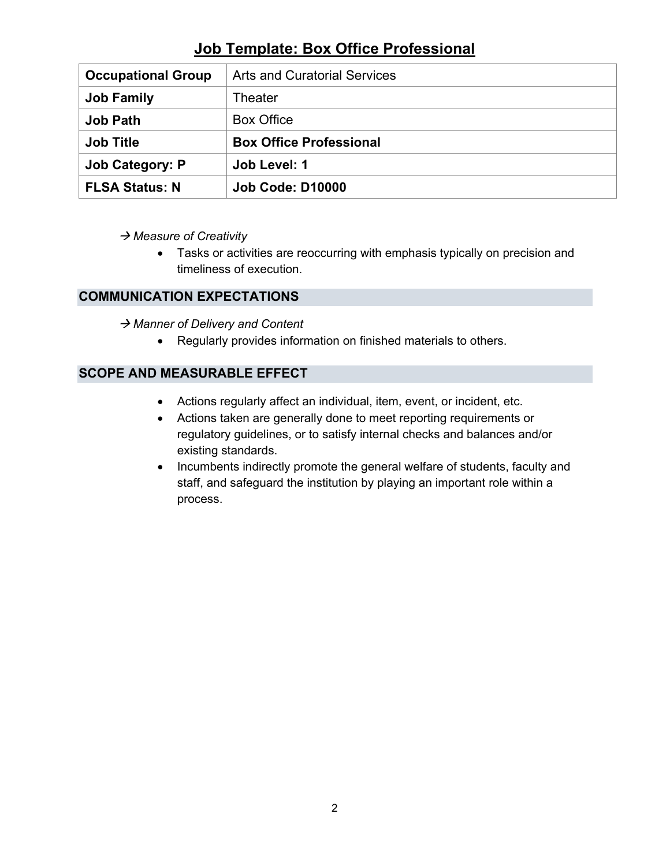| <b>Occupational Group</b> | <b>Arts and Curatorial Services</b> |
|---------------------------|-------------------------------------|
| <b>Job Family</b>         | Theater                             |
| <b>Job Path</b>           | <b>Box Office</b>                   |
| <b>Job Title</b>          | <b>Box Office Professional</b>      |
| <b>Job Category: P</b>    | Job Level: 1                        |
| <b>FLSA Status: N</b>     | <b>Job Code: D10000</b>             |

*Measure of Creativity*

• Tasks or activities are reoccurring with emphasis typically on precision and timeliness of execution.

### **COMMUNICATION EXPECTATIONS**

→ Manner of Delivery and Content

• Regularly provides information on finished materials to others.

### **SCOPE AND MEASURABLE EFFECT**

- Actions regularly affect an individual, item, event, or incident, etc.
- Actions taken are generally done to meet reporting requirements or regulatory guidelines, or to satisfy internal checks and balances and/or existing standards.
- Incumbents indirectly promote the general welfare of students, faculty and staff, and safeguard the institution by playing an important role within a process.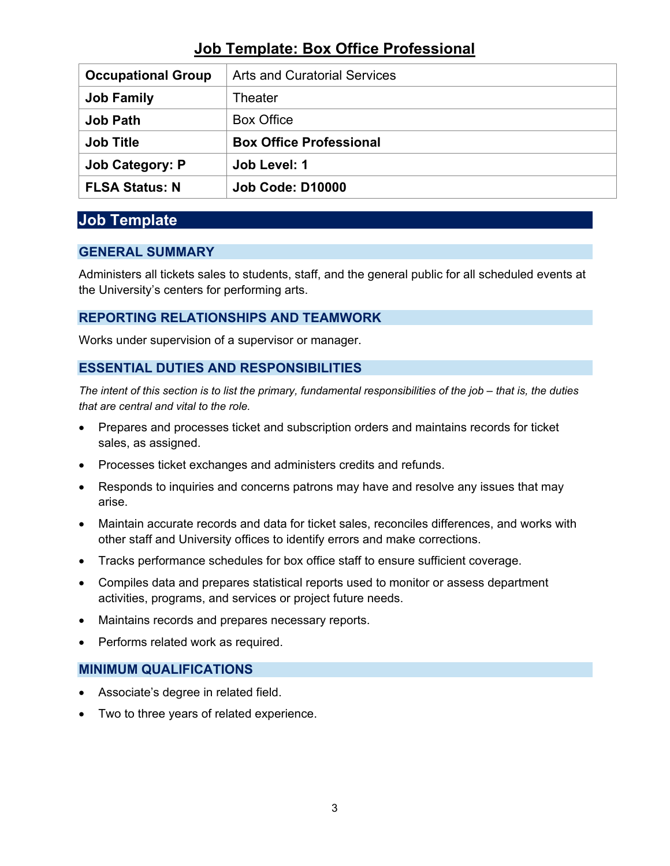| <b>Occupational Group</b> | <b>Arts and Curatorial Services</b> |
|---------------------------|-------------------------------------|
| <b>Job Family</b>         | Theater                             |
| <b>Job Path</b>           | <b>Box Office</b>                   |
| <b>Job Title</b>          | <b>Box Office Professional</b>      |
| <b>Job Category: P</b>    | Job Level: 1                        |
| <b>FLSA Status: N</b>     | <b>Job Code: D10000</b>             |

### **Job Template**

### **GENERAL SUMMARY**

Administers all tickets sales to students, staff, and the general public for all scheduled events at the University's centers for performing arts.

### **REPORTING RELATIONSHIPS AND TEAMWORK**

Works under supervision of a supervisor or manager.

#### **ESSENTIAL DUTIES AND RESPONSIBILITIES**

*The intent of this section is to list the primary, fundamental responsibilities of the job – that is, the duties that are central and vital to the role.*

- Prepares and processes ticket and subscription orders and maintains records for ticket sales, as assigned.
- Processes ticket exchanges and administers credits and refunds.
- Responds to inquiries and concerns patrons may have and resolve any issues that may arise.
- Maintain accurate records and data for ticket sales, reconciles differences, and works with other staff and University offices to identify errors and make corrections.
- Tracks performance schedules for box office staff to ensure sufficient coverage.
- Compiles data and prepares statistical reports used to monitor or assess department activities, programs, and services or project future needs.
- Maintains records and prepares necessary reports.
- Performs related work as required.

#### **MINIMUM QUALIFICATIONS**

- Associate's degree in related field.
- Two to three years of related experience.